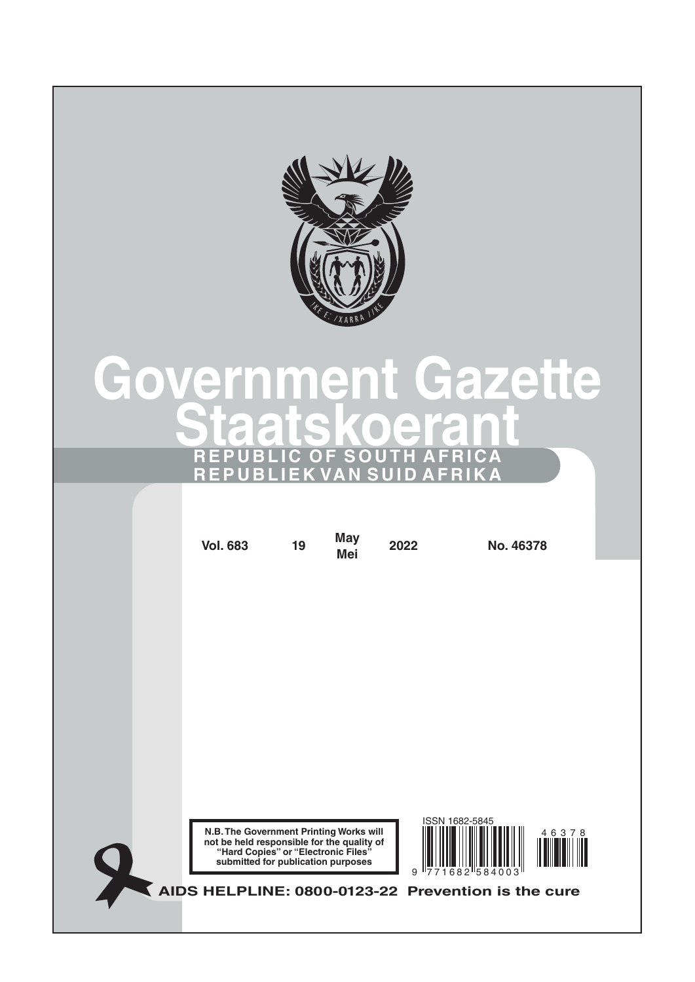

# **Government Gazette Staatskoeran REPUBLIC OF SOUTH AFRICA REPUBLIEK VAN SUID AFRIKA**

| <b>Vol. 683</b>                                                                                                                                                    | 19 | <b>May</b><br>Mei | 2022 | No. 46378                                          |  |
|--------------------------------------------------------------------------------------------------------------------------------------------------------------------|----|-------------------|------|----------------------------------------------------|--|
|                                                                                                                                                                    |    |                   |      |                                                    |  |
|                                                                                                                                                                    |    |                   |      |                                                    |  |
|                                                                                                                                                                    |    |                   |      |                                                    |  |
|                                                                                                                                                                    |    |                   |      |                                                    |  |
|                                                                                                                                                                    |    |                   |      |                                                    |  |
|                                                                                                                                                                    |    |                   |      |                                                    |  |
| N.B. The Government Printing Works will<br>not be held responsible for the quality of<br>"Hard Copies" or "Electronic Files"<br>submitted for publication purposes |    |                   | 9    | ISSN 1682-5845<br>46378<br>682 584003              |  |
|                                                                                                                                                                    |    |                   |      | AIDS HELPLINE: 0800-0123-22 Prevention is the cure |  |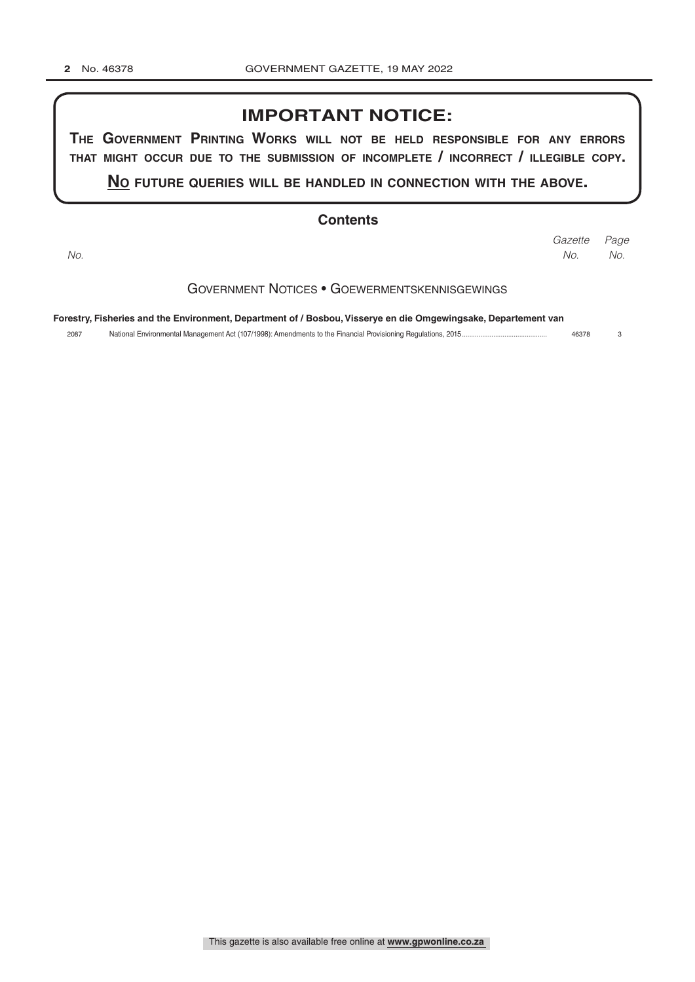### **IMPORTANT NOTICE:**

**The GovernmenT PrinTinG Works Will noT be held resPonsible for any errors ThaT miGhT occur due To The submission of incomPleTe / incorrecT / illeGible coPy.**

**no fuTure queries Will be handled in connecTion WiTh The above.**

#### **Contents**

*Page Gazette No. No. No.*

Government Notices • Goewermentskennisgewings

**Forestry, Fisheries and the Environment, Department of / Bosbou, Visserye en die Omgewingsake, Departement van**

2087 National Environmental Management Act (107/1998): Amendments to the Financial Provisioning Regulations, 2015.............................................. 46378 3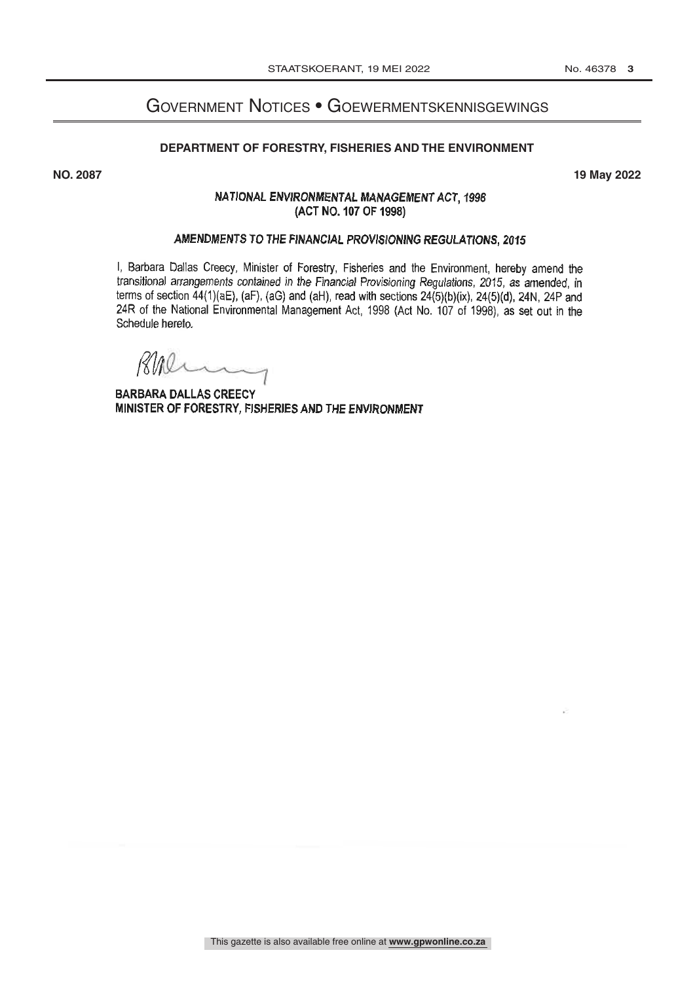## Government Notices • Goewermentskennisgewings

#### **DEPARTMENT OF FORESTRY, FISHERIES AND THE ENVIRONMENT**

**NO. 2087 19 May 2022**

#### NATIONAL ENVIRONMENTAL MANAGEMENT ACT, 1998 (ACT NO. 107 OF 1998)

#### AMENDMENTS TO THE FINANCIAL PROVISIONING REGULATIONS, 2015

I, Barbara Dallas Creecy, Minister of Forestry, Fisheries and the Environment, hereby amend the transitional arrangements contained in the Financial Provisioning Regulations, 2015, as amended, in terms of section  $44(1)(aE)$ ,  $(aF)$ ,  $(aG)$  and  $(aH)$ , read with sections  $24(5)(b)(ix)$ ,  $24(5)(d)$ ,  $24N$ ,  $24P$  and 24R of the National Environmental Management Act, 1998 (Act No. 107 of 1998), as set out in the Schedule hereto.

Rher

**BARBARA DALLAS CREECY** MINISTER OF FORESTRY, FISHERIES AND THE ENVIRONMENT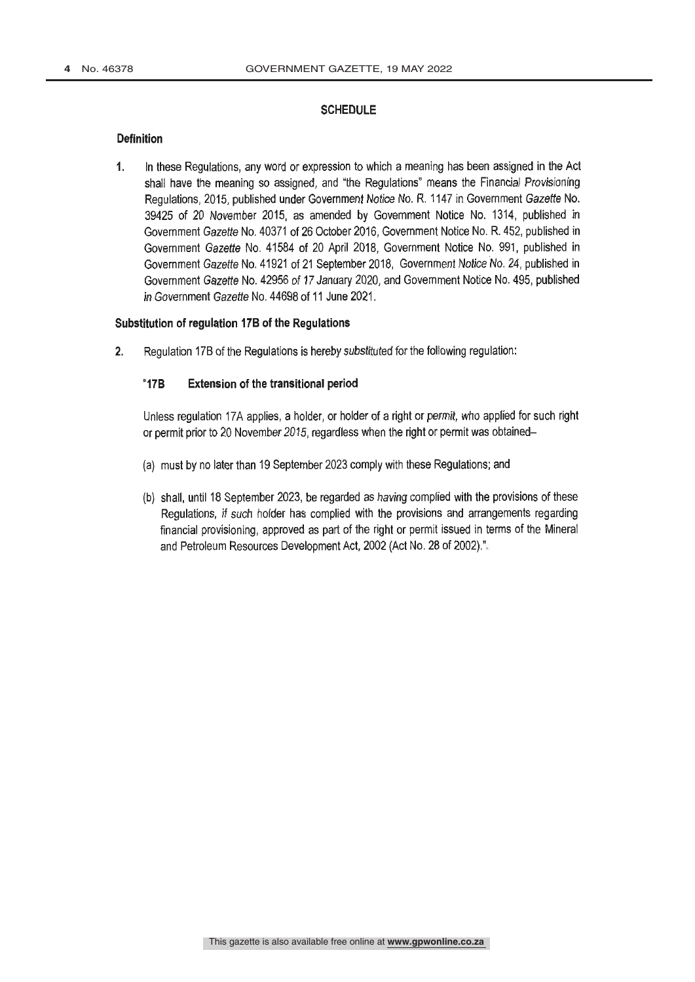#### **SCHEDULE**

#### **Definition**

In these Regulations, any word or expression to which a meaning has been assigned in the Act  $\mathbf{1}$ shall have the meaning so assigned, and "the Regulations" means the Financial Provisioning Regulations, 2015, published under Government Notice No. R. 1147 in Government Gazette No. 39425 of 20 November 2015, as amended by Government Notice No. 1314, published in Government Gazette No. 40371 of 26 October 2016, Government Notice No. R. 452, published in Government Gazette No. 41584 of 20 April 2018, Government Notice No. 991, published in Government Gazette No. 41921 of 21 September 2018, Government Notice No. 24, published in Government Gazette No. 42956 of 17 January 2020, and Government Notice No. 495, published in Government Gazette No. 44698 of 11 June 2021.

#### Substitution of regulation 17B of the Regulations

Regulation 17B of the Regulations is hereby substituted for the following regulation:  $2.$ 

#### "17B Extension of the transitional period

Unless regulation 17A applies, a holder, or holder of a right or permit, who applied for such right or permit prior to 20 November 2015, regardless when the right or permit was obtained-

- (a) must by no later than 19 September 2023 comply with these Regulations; and
- (b) shall, until 18 September 2023, be regarded as having complied with the provisions of these Regulations, if such holder has complied with the provisions and arrangements regarding financial provisioning, approved as part of the right or permit issued in terms of the Mineral and Petroleum Resources Development Act, 2002 (Act No. 28 of 2002)."